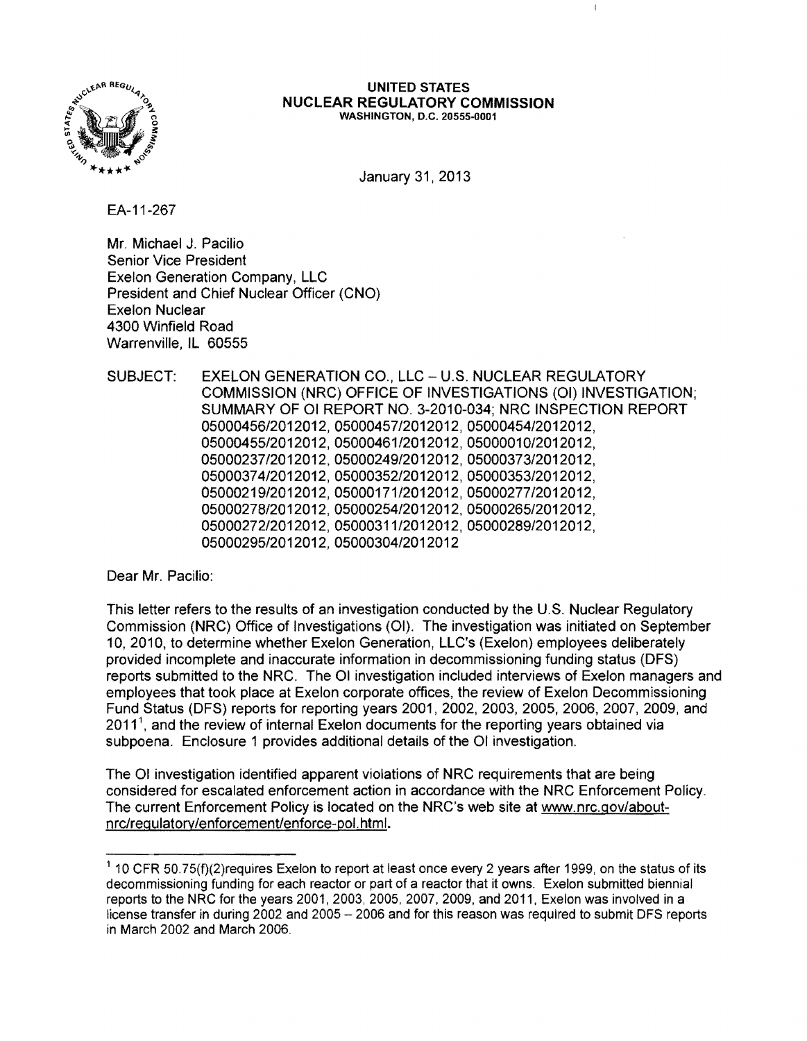

#### UNITED STATES NUCLEAR REGULATORY COMMISSION WASHINGTON, D.C. 20555-0001

 $\mathbf{I}$ 

January 31, 2013

EA-11-267

Mr. Michael J. Pacilio Senior Vice President Exelon Generation Company, LLC President and Chief Nuclear Officer (CNO) Exelon Nuclear 4300 Winfield Road Warrenville, IL 60555

SUBJECT: EXELON GENERATION CO., LLC - U.S. NUCLEAR REGULATORY COMMISSION (NRC) OFFICE OF INVESTIGATIONS (01) INVESTIGATION; SUMMARY OF 01 REPORT NO. 3-2010-034; NRC INSPECTION REPORT 05000456/2012012,05000457/2012012,05000454/2012012, 05000455/2012012,05000461/2012012,05000010/2012012, 05000237/2012012,05000249/2012012,05000373/2012012, 05000374/2012012, 05000352/2012012, 05000353/2012012, 05000219/2012012,05000171/2012012,05000277/2012012, 05000278/2012012, 05000254/2012012, 05000265/2012012, 05000272/2012012,05000311/2012012,05000289/2012012, 05000295/2012012, 05000304/2012012

Dear Mr. Pacilio:

This letter refers to the results of an investigation conducted by the U.S. Nuclear Regulatory Commission (NRC) Office of Investigations (01). The investigation was initiated on September 10,2010, to determine whether Exelon Generation, LLC's (Exelon) employees deliberately provided incomplete and inaccurate information in decommissioning funding status (DFS) reports submitted to the NRC. The 01 investigation included interviews of Exelon managers and employees that took place at Exelon corporate offices, the review of Exelon Decommissioning Fund Status (DFS) reports for reporting years 2001,2002,2003,2005,2006,2007,2009, and  $2011<sup>1</sup>$ , and the review of internal Exelon documents for the reporting years obtained via subpoena. Enclosure 1 provides additional details of the 01 investigation.

The 01 investigation identified apparent violations of NRC requirements that are being considered for escalated enforcement action in accordance with the NRC Enforcement Policy. The current Enforcement Policy is located on the NRC's web site at www.nrc.gov/aboutnrc/regulatory/enforcement/enforce-pol.html.

 $1$  10 CFR 50.75(f)(2)requires Exelon to report at least once every 2 years after 1999, on the status of its decommissioning funding for each reactor or part of a reactor that it owns. Exelon submitted biennial reports to the NRC for the years 2001, 2003, 2005, 2007, 2009, and 2011, Exelon was involved in a license transfer in during 2002 and 2005 - 2006 and for this reason was required to submit DFS reports in March 2002 and March 2006.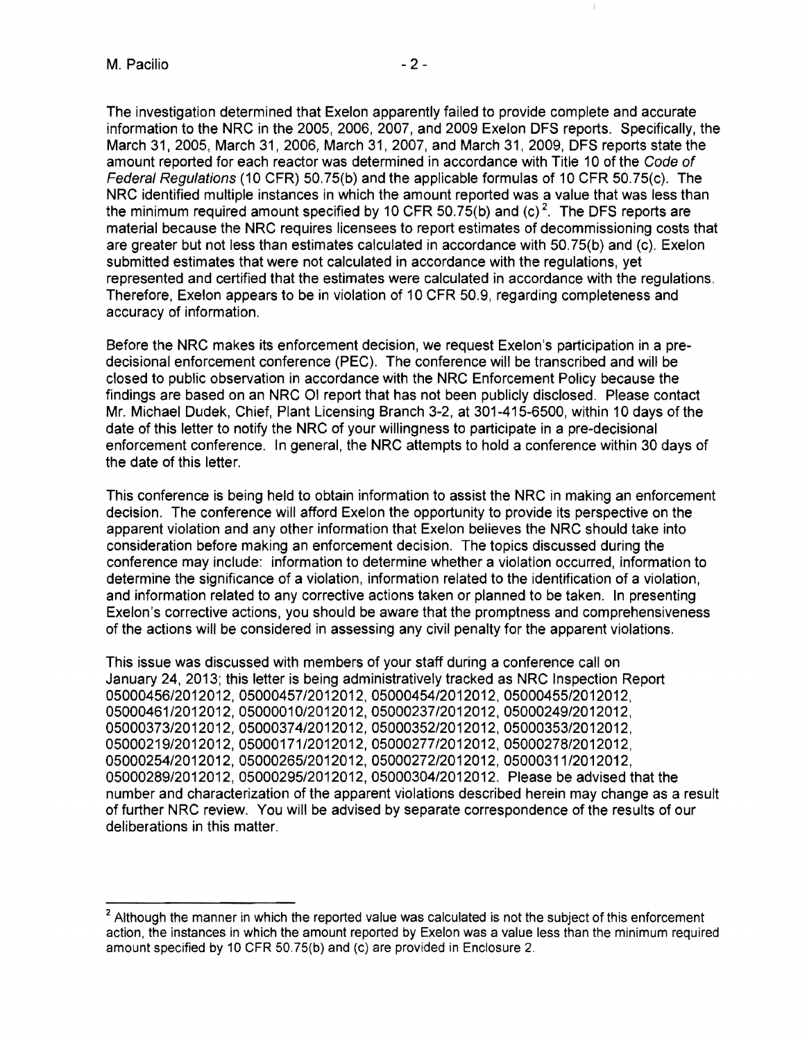The investigation determined that Exelon apparently failed to provide complete and accurate information to the NRC in the 2005, 2006, 2007, and 2009 Exelon DFS reports. Specifically, the March 31,2005, March 31, 2006, March 31,2007, and March 31,2009, DFS reports state the amount reported for each reactor was determined in accordance with Title 10 of the Code of Federal Regulations (10 CFR) 50.75(b) and the applicable formulas of 10 CFR 50.75(c). The NRC identified multiple instances in which the amount reported was a value that was less than the minimum required amount specified by 10 CFR 50.75(b) and (c)<sup>2</sup>. The DFS reports are material because the NRC requires licensees to report estimates of decommissioning costs that are greater but not less than estimates calculated in accordance with 50.75(b) and (c). Exelon submitted estimates that were not calculated in accordance with the regulations, yet represented and certified that the estimates were calculated in accordance with the regulations. Therefore, Exelon appears to be in violation of 10 CFR 50.9, regarding completeness and accuracy of information.

Before the NRC makes its enforcement decision, we request Exelon's participation in a predecisional enforcement conference (PEC). The conference will be transcribed and will be closed to public observation in accordance with the NRC Enforcement Policy because the findings are based on an NRC 01 report that has not been publicly disclosed. Please contact Mr. Michael Dudek, Chief, Plant Licensing Branch 3-2, at 301-415-6500, within 10 days of the date of this letter to notify the NRC of your willingness to participate in a pre-decisional enforcement conference. In general, the NRC attempts to hold a conference within 30 days of the date of this letter.

This conference is being held to obtain information to assist the NRC in making an enforcement decision. The conference will afford Exelon the opportunity to provide its perspective on the apparent violation and any other information that Exelon believes the NRC should take into consideration before making an enforcement decision. The topics discussed during the conference may include: information to determine whether a violation occurred, information to determine the significance of a violation, information related to the identification of a violation, and information related to any corrective actions taken or planned to be taken. In presenting Exelon's corrective actions, you should be aware that the promptness and comprehensiveness of the actions will be considered in assessing any civil penalty for the apparent violations.

This issue was discussed with members of your staff during a conference call on January 24, 2013; this letter is being administratively tracked as NRC Inspection Report 05000456/2012012,05000457/2012012, 0500045412012012, 05000455/2012012, 05000461/2012012, 05000010/2012012,05000237/2012012,05000249/2012012, 05000373/2012012, 05000374/2012012, 05000352/2012012, 05000353/2012012, 05000219/2012012,05000171/2012012, 05000277/2012012,05000278/2012012, 05000254/2012012,05000265/2012012, 05000272/2012012, 05000311/2012012, 05000289/2012012,05000295/2012012, 05000304/2012012. Please be advised that the number and characterization of the apparent violations described herein may change as a result of further NRC review. You will be advised by separate correspondence of the results of our deliberations in this matter.

<sup>&</sup>lt;sup>2</sup> Although the manner in which the reported value was calculated is not the subject of this enforcement action, the instances in which the amount reported by Exelon was a value less than the minimum required amount specified by 10 CFR SO.7S(b) and (c) are provided in Enclosure 2.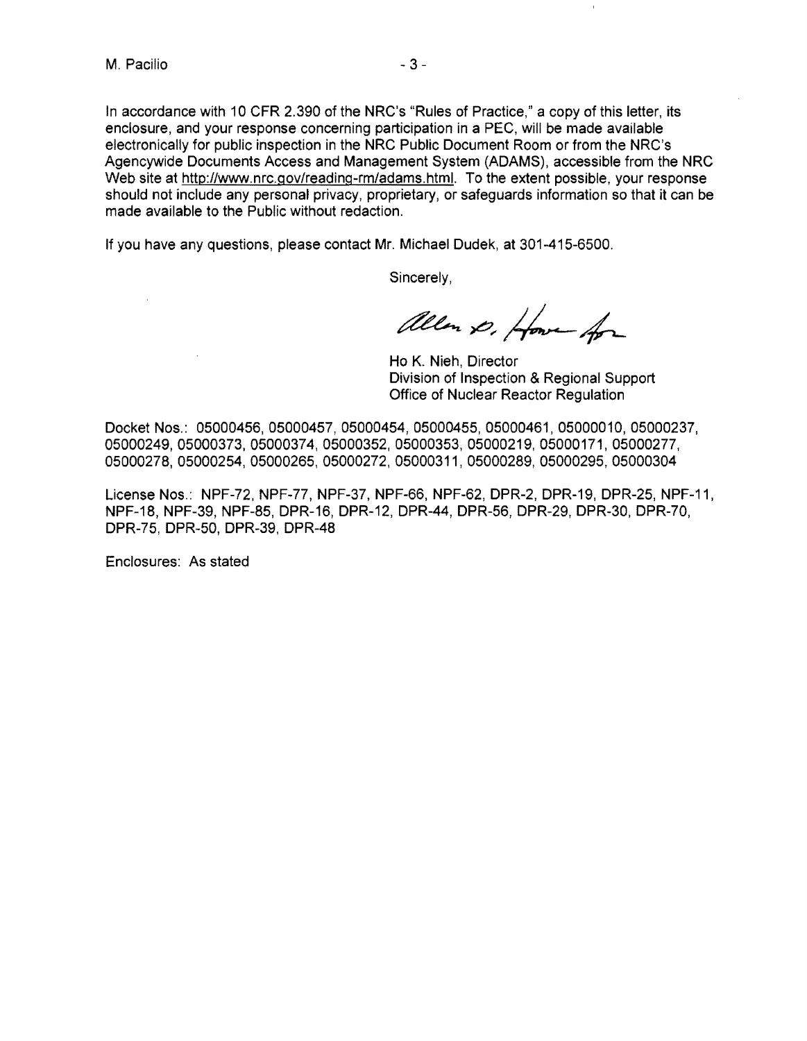$\sim$ 

In accordance with 10 CFR 2.390 of the NRC's "Rules of Practice," a copy of this letter, its enclosure, and your response concerning participation in a PEC, will be made available electronically for public inspection in the NRC Public Document Room or from the NRC's Agencywide Documents Access and Management System (ADAMS), accessible from the NRC Web site at http://www.nrc.gov/reading-rm/adams.html. To the extent possible, your response should not include any personal privacy, proprietary, or safeguards information so that it can be made available to the Public without redaction.

If you have any questions, please contact Mr. Michael Dudek, at 301-415-6500.

Sincerely,

allen D. Howe for

Ho K. Nieh, Director Division of Inspection & Regional Support Office of Nuclear Reactor Regulation

 $\bar{t}$ 

Docket Nos.: 05000456, 05000457, 05000454, 05000455, 05000461, 05000010, 05000237, 05000249,05000373,05000374,05000352, 05000353, 05000219, 05000171, 05000277, 05000278,05000254,05000265,05000272, 05000311, 05000289, 05000295,05000304

License Nos.: NPF-72, NPF-77, NPF-37, NPF-66, NPF-62, DPR-2, DPR-19, DPR-25, NPF-11, NPF-18, NPF-39, NPF-85, DPR-16, DPR-12, DPR-44, DPR-56, DPR-29, DPR-30, DPR-70, DPR-75, DPR-50, DPR-39. DPR-48

Enclosures: As stated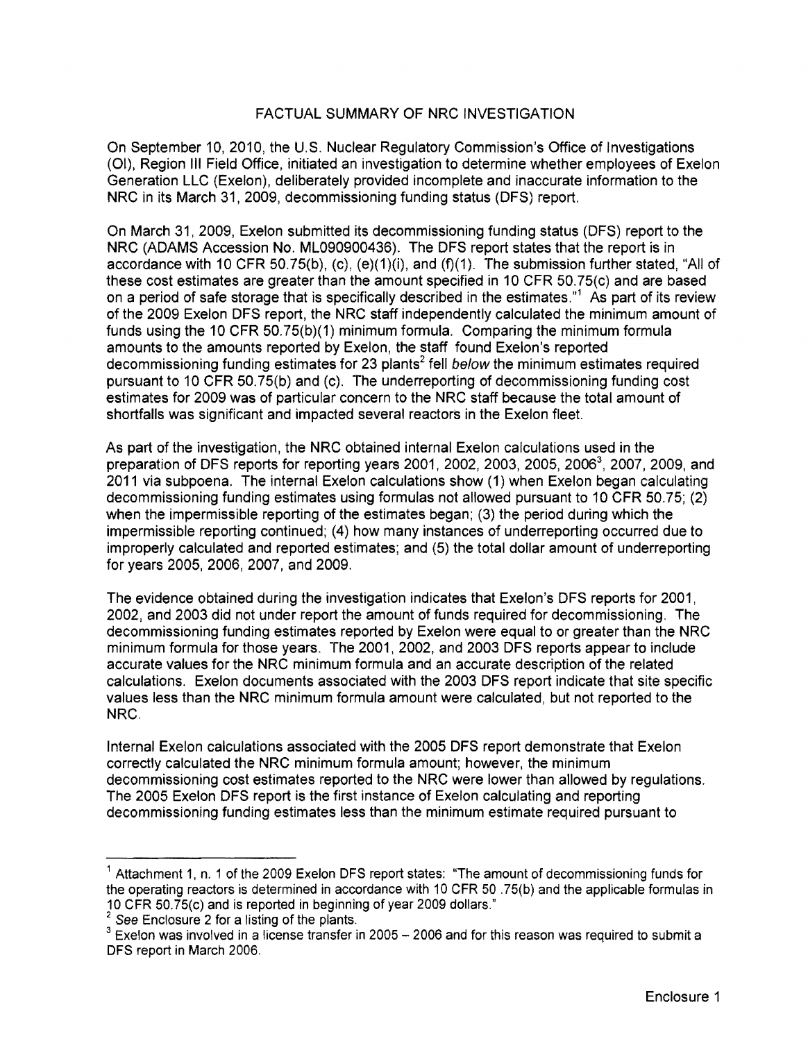## FACTUAL SUMMARY OF NRC INVESTIGATION

On September 10, 2010, the U.S. Nuclear Regulatory Commission's Office of Investigations (01), Region III Field Office, initiated an investigation to determine whether employees of Exelon Generation LLC (Exelon), deliberately provided incomplete and inaccurate information to the NRC in its March 31,2009, decommissioning funding status (DFS) report.

On March 31,2009, Exelon submitted its decommissioning funding status (DFS) report to the NRC (ADAMS Accession No. ML090900436). The DFS report states that the report is in accordance with 10 CFR 50.75(b), (c), (e){1)(i), and (f)(1). The submission further stated, "All of these cost estimates are greater than the amount specified in 10 CFR 50.75(c) and are based on a period of safe storage that is specifically described in the estimates."1 As part of its review of the 2009 Exelon DFS report, the NRC staff independently calculated the minimum amount of funds using the 10 CFR 50.75(b)(1) minimum formula. Comparing the minimum formula amounts to the amounts reported by Exelon, the staff found Exelon's reported decommissioning funding estimates for 23 plants<sup>2</sup> fell below the minimum estimates required pursuant to 10 CFR 50.75(b) and (c). The underreporting of decommissioning funding cost estimates for 2009 was of particular concern to the NRC staff because the total amount of shortfalls was significant and impacted several reactors in the Exelon fleet.

As part of the investigation, the NRC obtained internal Exelon calculations used in the preparation of DFS reports for reporting years 2001, 2002, 2003, 2005, 2006<sup>3</sup>, 2007, 2009, and 2011 via subpoena. The internal Exelon calculations show (1) when Exelon began calculating decommissioning funding estimates using formulas not allowed pursuant to 10 CFR 50.75; (2) when the impermissible reporting of the estimates began; (3) the period during which the impermissible reporting continued; (4) how many instances of underreporting occurred due to improperly calculated and reported estimates; and (5) the total dollar amount of underreporting for years 2005, 2006, 2007, and 2009.

The evidence obtained during the investigation indicates that Exelon's DFS reports for 2001, 2002, and 2003 did not under report the amount of funds required for decommissioning. The decommissioning funding estimates reported by Exelon were equal to or greater than the NRC minimum formula for those years. The 2001, 2002, and 2003 DFS reports appear to include accurate values for the NRC minimum formula and an accurate description of the related calculations. Exelon documents associated with the 2003 DFS report indicate that site specific values less than the NRC minimum formula amount were calculated, but not reported to the NRC.

Internal Exelon calculations associated with the 2005 DFS report demonstrate that Exelon correctly calculated the NRC minimum formula amount; however, the minimum decommissioning cost estimates reported to the NRC were lower than allowed by regulations. The 2005 Exelon DFS report is the first instance of Exelon calculating and reporting decommissioning funding estimates less than the minimum estimate required pursuant to

<sup>1</sup> Attachment 1, n. 1 of the 2009 Exelon DFS report states: "The amount of decommissioning funds for the operating reactors is determined in accordance with 10 CFR 50 .75(b) and the applicable formulas in 10 CFR 50.75(c) and is reported in beginning of year 2009 dollars."

 $2^2$  See Enclosure 2 for a listing of the plants.

 $\degree$  Exelon was involved in a license transfer in 2005 – 2006 and for this reason was required to submit a DFS report in March 2006.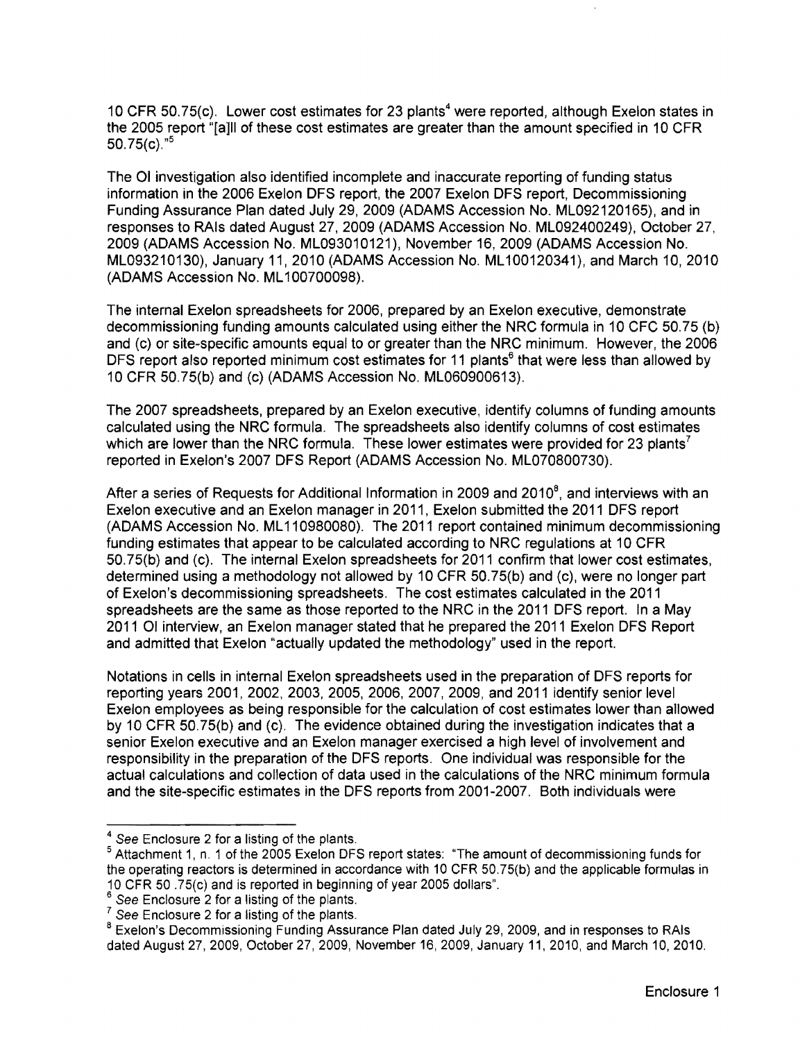10 CFR 50.75(c). Lower cost estimates for 23 plants<sup>4</sup> were reported, although Exelon states in the 2005 report "[a]ll of these cost estimates are greater than the amount specified in 10 CFR 50.75 $(c)$ ."<sup>5</sup>

The 01 investigation also identified incomplete and inaccurate reporting of funding status information in the 2006 Exelon DFS report, the 2007 Exelon DFS report, Decommissioning Funding Assurance Plan dated July 29,2009 (ADAMS Accession No. ML09212016S), and in responses to RAls dated August 27,2009 (ADAMS Accession No. ML092400249), October 27, 2009 (ADAMS Accession No. ML093010121), November 16, 2009 (ADAMS Accession No. ML09321 0130), January 11, 2010 (ADAMS Accession No. ML 100120341), and March 10, 2010 (ADAMS Accession No. ML 100700098).

The internal Exelon spreadsheets for 2006, prepared by an Exelon executive, demonstrate decommissioning funding amounts calculated using either the NRC formula in 10 CFC 50.75 (b) and (c) or site-specific amounts equal to or greater than the NRC minimum. However, the 2006 DFS report also reported minimum cost estimates for 11 plants<sup>6</sup> that were less than allowed by 10 CFR SO.7S(b) and (c) (ADAMS Accession No. ML060900613).

The 2007 spreadsheets, prepared by an Exelon executive, identify columns of funding amounts calculated using the NRC formula. The spreadsheets also identify columns of cost estimates which are lower than the NRC formula. These lower estimates were provided for 23 plants<sup>7</sup> reported in Exelon's 2007 DFS Report (ADAMS Accession No. ML070800730).

After a series of Requests for Additional Information in 2009 and 2010 $^{\circ}$ , and interviews with an Exelon executive and an Exelon manager in 2011, Exelon submitted the 2011 DFS report (ADAMS Accession No. ML 110980080). The 2011 report contained minimum decommissioning funding estimates that appear to be calculated according to NRC regulations at 10 CFR 50.75{b) and (c). The internal Exelon spreadsheets for 2011 confirm that lower cost estimates, determined using a methodology not allowed by 10 CFR SO.7S(b) and (c), were no longer part of Exelon's decommissioning spreadsheets. The cost estimates calculated in the 2011 spreadsheets are the same as those reported to the NRC in the 2011 DFS report. In a May 2011 01 interview, an Exelon manager stated that he prepared the 2011 Exelon DFS Report and admitted that Exelon "actually updated the methodology" used in the report.

Notations in cells in internal Exelon spreadsheets used in the preparation of DFS reports for reporting years 2001,2002,2003,2005,2006,2007,2009, and 2011 identify senior level Exelon employees as being responsible for the calculation of cost estimates lower than allowed by 10 CFR SO.75(b) and (c). The evidence obtained during the investigation indicates that a senior Exelon executive and an Exelon manager exercised a high level of involvement and responsibility in the preparation of the DFS reports. One individual was responsible for the actual calculations and collection of data used in the calculations of the NRC minimum formula and the site-specific estimates in the DFS reports from 2001-2007. Both individuals were

<sup>4</sup> See Enclosure 2 for a listing of the plants.

5 Attachment 1, n. 1 of the 2005 Exelon DFS report states: ''The amount of decommissioning funds for the operating reactors is determined in accordance with 10 CFR 50.75(b) and the applicable formulas in 10 CFR 50 .75(c) and is reported in beginning of year 2005 dollars".

<sup>&</sup>lt;sup>o</sup> See Enclosure 2 for a listing of the plants.

 $\ell$  See Enclosure 2 for a listing of the plants.

<sup>&</sup>lt;sup>8</sup> Exelon's Decommissioning Funding Assurance Plan dated July 29, 2009, and in responses to RAIs dated August 27,2009, October 27,2009, November 16,2009, January 11,2010, and March 10, 2010.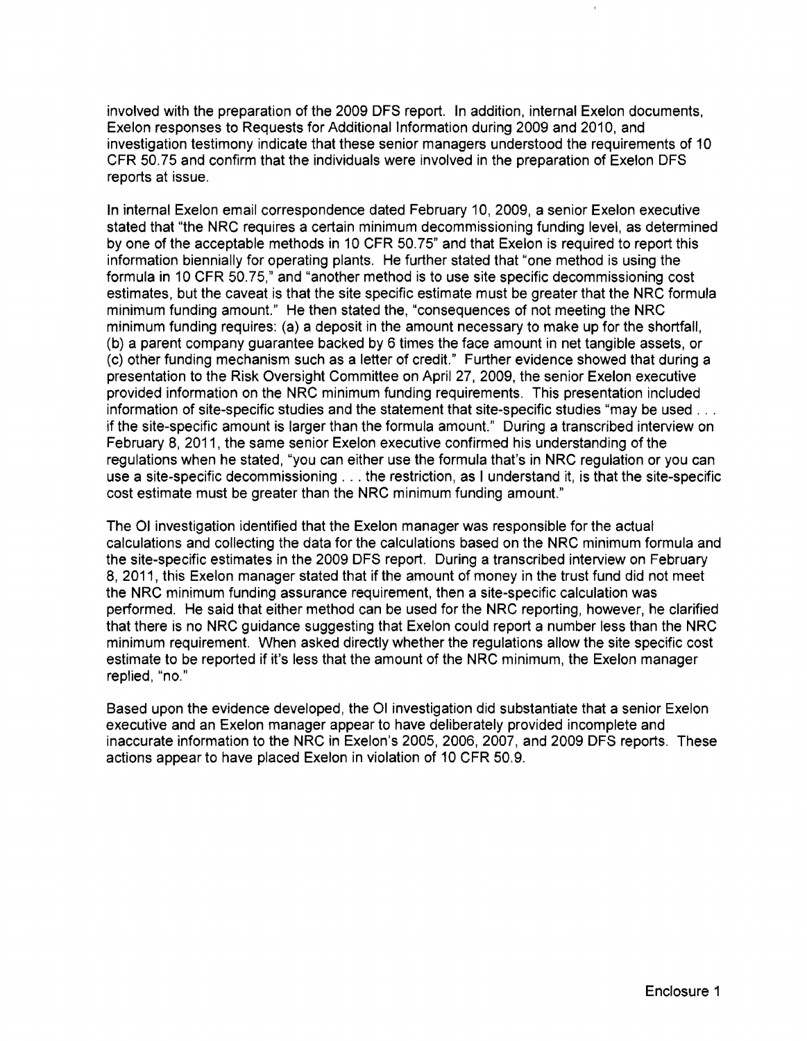involved with the preparation of the 2009 DFS report. In addition, internal Exelon documents, Exelon responses to Requests for Additional Information during 2009 and 2010, and investigation testimony indicate that these senior managers understood the requirements of 10 CFR 50.75 and confirm that the individuals were involved in the preparation of Exelon DFS reports at issue.

In internal Exelon email correspondence dated February 10, 2009, a senior Exelon executive stated that "the NRC requires a certain minimum decommissioning funding level, as determined by one of the acceptable methods in 10 CFR 50.75" and that Exelon is required to report this information biennially for operating plants. He further stated that "one method is using the formula in 10 CFR 50.75," and "another method is to use site specific decommissioning cost estimates, but the caveat is that the site specific estimate must be greater that the NRC formula minimum funding amount." He then stated the, "consequences of not meeting the NRC minimum funding requires: (a) a deposit in the amount necessary to make up for the shortfall, (b) a parent company guarantee backed by 6 times the face amount in net tangible assets, or (c) other funding mechanism such as a letter of credit." Further evidence showed that during a presentation to the Risk Oversight Committee on April 27,2009, the senior Exelon executive provided information on the NRC minimum funding requirements. This presentation included information of site-specific studies and the statement that site-specific studies "may be used ... if the site-specific amount is larger than the formula amount." During a transcribed interview on February 8, 2011, the same senior Exelon executive confirmed his understanding of the regulations when he stated, "you can either use the formula that's in NRC regulation or you can use a site-specific decommissioning ... the restriction, as I understand it, is that the site-specific cost estimate must be greater than the NRC minimum funding amount."

The 01 investigation identified that the Exelon manager was responsible for the actual calculations and collecting the data for the calculations based on the NRC minimum formula and the site-specific estimates in the 2009 DFS report. During a transcribed interview on February 8, 2011, this Exelon manager stated that if the amount of money in the trust fund did not meet the NRC minimum funding assurance requirement, then a site-specific calculation was performed. He said that either method can be used for the NRC reporting, however, he clarified that there is no NRC guidance suggesting that Exelon could report a number less than the NRC minimum requirement. When asked directly whether the regulations allow the site specific cost estimate to be reported if it's less that the amount of the NRC minimum, the Exelon manager replied, "no."

Based upon the evidence developed, the 01 investigation did substantiate that a senior Exelon executive and an Exelon manager appear to have deliberately provided incomplete and inaccurate information to the NRC in Exelon's 2005,2006,2007, and 2009 DFS reports. These actions appear to have placed Exelon in violation of 10 CFR 50.9.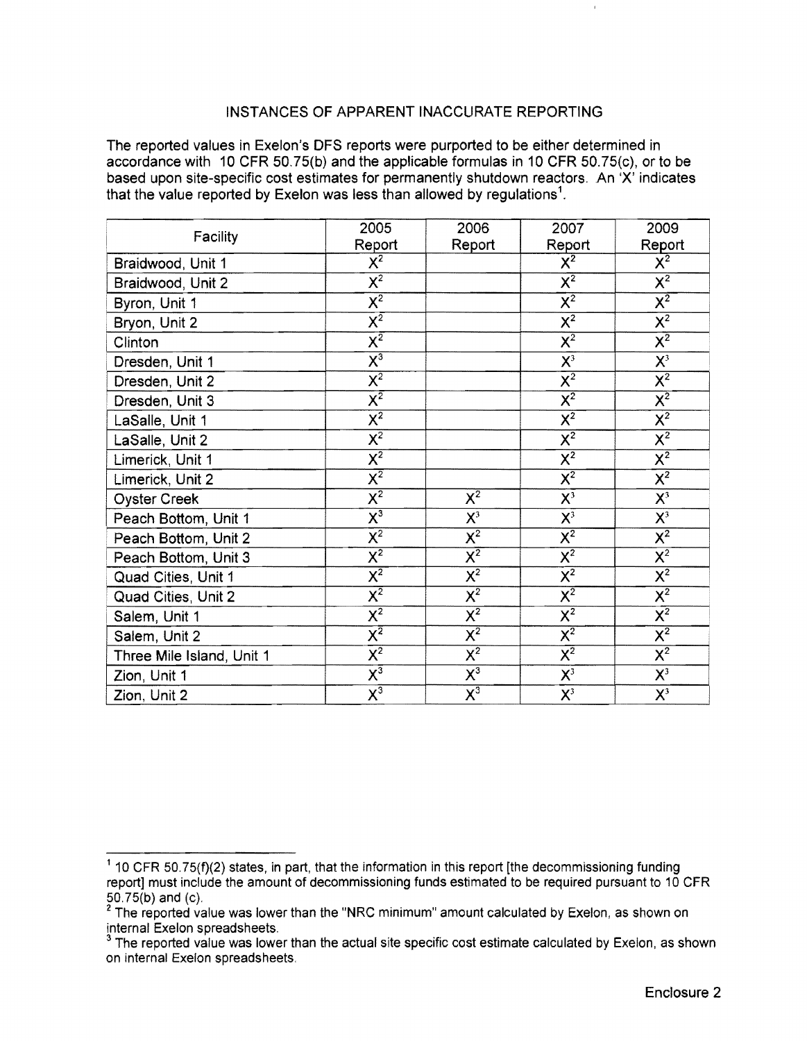## INSTANCES OF APPARENT INACCURATE REPORTING

The reported values in Exelon's DFS reports were purported to be either determined in accordance with 10 CFR 50.75(b) and the applicable formulas in 10 CFR 50.75(c), or to be based upon site-specific cost estimates for permanently shutdown reactors. An 'X' indicates that the value reported by Exelon was less than allowed by regulations<sup>1</sup>.

| Facility                  | 2005                                 | 2006                      | 2007                                 | 2009                      |
|---------------------------|--------------------------------------|---------------------------|--------------------------------------|---------------------------|
|                           | Report                               | Report                    | Report                               | Report                    |
| Braidwood, Unit 1         | $X^2$                                |                           | $X^2$                                | $X^2$                     |
| Braidwood, Unit 2         | $\overline{\mathsf{x}^2}$            |                           | $\overline{\mathsf{X}^2}$            | $X^2$                     |
| Byron, Unit 1             | $\overline{\mathsf{X}^2}$            |                           | $\overline{\mathsf{X}^2}$            | $\overline{\mathsf{X}^2}$ |
| Bryon, Unit 2             | $\overline{\mathsf{x}^{\mathsf{z}}}$ |                           | $\overline{\chi^2}$                  | $\overline{\mathsf{X}^2}$ |
| Clinton                   | $\overline{\mathsf{x}^2}$            |                           | $\overline{\mathsf{x}^2}$            | $\overline{\mathsf{x}^2}$ |
| Dresden, Unit 1           | $\overline{\mathsf{x}^3}$            |                           | $X^3$                                | $X^3$                     |
| Dresden, Unit 2           | $\overline{\mathsf{x}^2}$            |                           | $\overline{\mathsf{X}^2}$            | $\overline{\mathsf{X}^2}$ |
| Dresden, Unit 3           | $\overline{\mathsf{x}^{\mathsf{z}}}$ |                           | $\overline{\mathsf{X}^2}$            | $\overline{\mathsf{X}^2}$ |
| LaSalle, Unit 1           | $\overline{\mathsf{x}^2}$            |                           | $\overline{\mathsf{X}^2}$            | $\overline{\mathsf{X}^2}$ |
| LaSalle, Unit 2           | $\overline{\mathsf{x}^2}$            |                           | $\overline{\mathsf{x}^2}$            | $\overline{\mathsf{X}^2}$ |
| Limerick, Unit 1          | $\overline{\mathsf{x}^2}$            |                           | $\overline{X^2}$                     | $\overline{\mathsf{X}^2}$ |
| Limerick, Unit 2          | $\overline{\mathsf{x}^{\mathsf{z}}}$ |                           | $\overline{\mathsf{x}^2}$            | $X^2$                     |
| <b>Oyster Creek</b>       | $\overline{\mathsf{X}^2}$            | $\overline{\mathsf{X}^2}$ | $X^3$                                | $X^3$                     |
| Peach Bottom, Unit 1      | $\overline{\mathsf{x}^{\mathsf{3}}}$ | $X^3$                     | $X^3$                                | $X^3$                     |
| Peach Bottom, Unit 2      | $\overline{\mathsf{X}^2}$            | $\overline{\mathsf{X}^2}$ | $\overline{\mathsf{X}^2}$            | $X^2$                     |
| Peach Bottom, Unit 3      | $\overline{\mathsf{x}^2}$            | $\overline{\mathsf{x}^2}$ | $\overline{\mathsf{X}^2}$            | $X^2$                     |
| Quad Cities, Unit 1       | $\overline{\mathsf{X}^2}$            | $\overline{\mathsf{x}^2}$ | $\overline{\mathsf{x}^2}$            | $\overline{X^2}$          |
| Quad Cities, Unit 2       | $\overline{\mathsf{x}^2}$            | $\overline{\mathsf{x}^2}$ | $\overline{\mathsf{X}^2}$            | $X^2$                     |
| Salem, Unit 1             | $\overline{\mathsf{x}^2}$            | $\overline{\mathsf{X}^2}$ | $\overline{\mathsf{X}^2}$            | $\overline{\mathsf{X}^2}$ |
| Salem, Unit 2             | $\overline{\mathsf{x}^{\mathsf{z}}}$ | $\overline{\mathsf{x}^2}$ | $\overline{\mathsf{x}^{\mathsf{2}}}$ | $\overline{\mathsf{X}^2}$ |
| Three Mile Island, Unit 1 | $\overline{\mathsf{x}^2}$            | $\overline{\mathsf{X}^2}$ | $\overline{\mathsf{X}^2}$            | $\overline{\chi^2}$       |
| Zion, Unit 1              | $\overline{\mathsf{x}^3}$            | $\overline{\mathsf{X}^3}$ | $\mathsf{X}^3$                       | $X^3$                     |
| Zion, Unit 2              | $\overline{\mathsf{x}^3}$            | $\overline{\mathsf{x}^3}$ | $X^3$                                | $X^3$                     |

 $1$  10 CFR 50.75(f)(2) states, in part, that the information in this report [the decommissioning funding report] must include the amount of decommissioning funds estimated to be required pursuant to 10 CFR 50.75(b) and (c).

 $^\epsilon$  The reported value was lower than the "NRC minimum" amount calculated by Exelon, as shown on internal Exelon spreadsheets.

<sup>&</sup>lt;sup>3</sup> The reported value was lower than the actual site specific cost estimate calculated by Exelon, as shown on internal Exeion spreadsheets.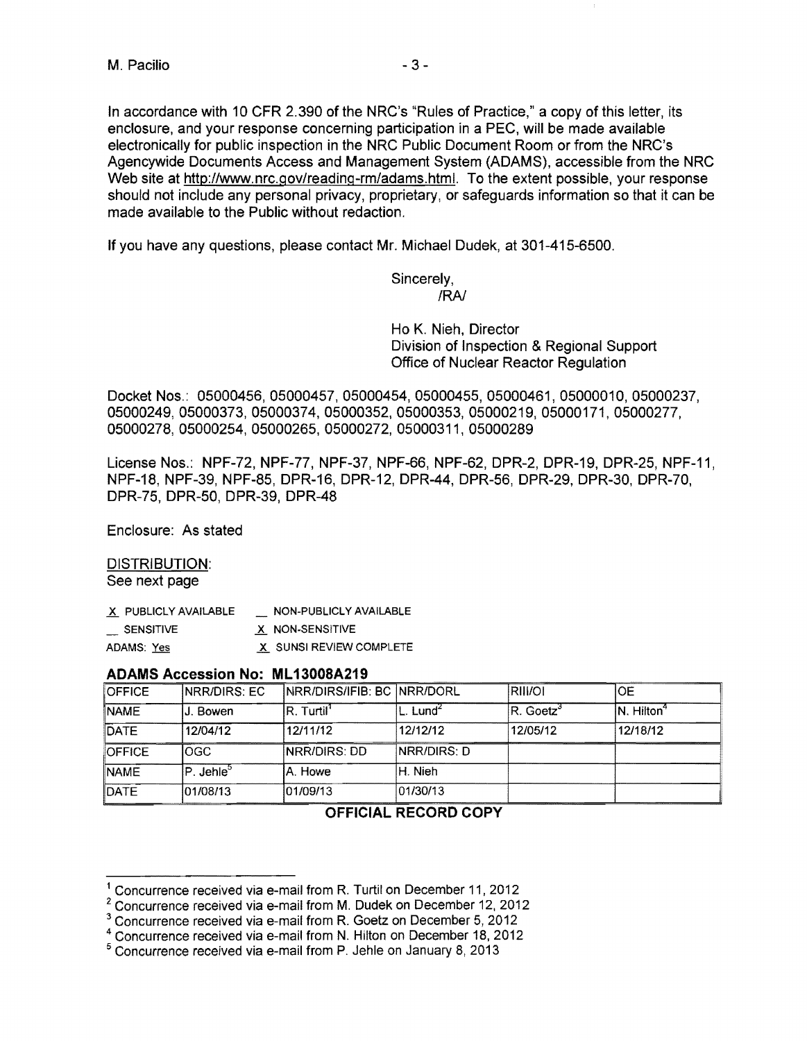In accordance with 10 CFR 2.390 of the NRC's "Rules of Practice," a copy ofthis letter, its enclosure, and your response concerning participation in a PEC, will be made available electronically for public inspection in the NRC Public Document Room or from the NRC's Agencywide Documents Access and Management System (ADAMS), accessible from the NRC Web site at http://www.nrc.gov/reading-rm/adams.html. To the extent possible, your response should not include any personal privacy, proprietary, or safeguards information so that it can be made available to the Public without redaction.

**If** you have any questions, please contact Mr. Michael Dudek, at 301-415-6500.

Sincerely, IRA!

Ho K. Nieh, Director Division of Inspection & Regional Support Office of Nuclear Reactor Regulation

Docket Nos.: 05000456,05000457,05000454,05000455, 05000461, 05000010, 05000237, 05000249,05000373, 05000374,05000352,05000353, 05000219, 05000171, 05000277, 05000278,05000254,05000265,05000272,05000311,05000289

License Nos.: NPF-72, NPF-77, NPF-37, NPF-66, NPF-62, DPR-2, DPR-19, DPR-25, NPF-11, NPF-18, NPF-39, NPF-85, DPR-16, DPR-12, DPR-44, DPR-56, DPR-29, DPR-30, DPR-70, DPR-75, DPR-50, DPR-39, DPR-48

Enclosure: As stated

### DISTRIBUTION: See next page

| X PUBLICLY AVAILABLE | NON-PUBLICLY AVAILABLE  |
|----------------------|-------------------------|
| SENSITIVE            | X NON-SENSITIVE         |
| ADAMS: Yes           | X SUNSI REVIEW COMPLETE |

### **ADAMS Accession No: ML13008A219**

| <b>OFFICE</b> | <b>INRR/DIRS: EC</b>            | INRR/DIRS/IFIB: BC INRR/DORL |                      | <b>RIIVOI</b>          | IOE                     |
|---------------|---------------------------------|------------------------------|----------------------|------------------------|-------------------------|
| <b>NAME</b>   | IJ. Bowen                       | IR. Turtil'                  | L. Lund <sup>2</sup> | $ R.$ Goetz $^{\circ}$ | IN. Hilton <sup>4</sup> |
| <b>DATE</b>   | 12/04/12                        | 12/11/12                     | 12/12/12             | 12/05/12               | 12/18/12                |
| <b>OFFICE</b> | lOGC.                           | <b>NRR/DIRS: DD</b>          | <b>INRR/DIRS: D</b>  |                        |                         |
| <b>NAME</b>   | $\mathsf{P}$ . Jehle $^{\circ}$ | IA. Howe                     | IH. Nieh             |                        |                         |
| <b>DATE</b>   | 101/08/13                       | 101/09/13                    | 01/30/13             |                        |                         |

# **OFFICIAL RECORD COpy**

<sup>1</sup> Concurrence received via e-mail from R. Turtil on December 11, 2012

 $2$  Concurrence received via e-mail from M. Dudek on December 12, 2012

<sup>&</sup>lt;sup>3</sup> Concurrence received via e-mail from R. Goetz on December 5, 2012

<sup>4</sup> Concurrence received via e-mail from N. Hilton on December 18, 2012

<sup>5</sup> Concurrence received via e-mail from P. Jehle on January 8, 2013